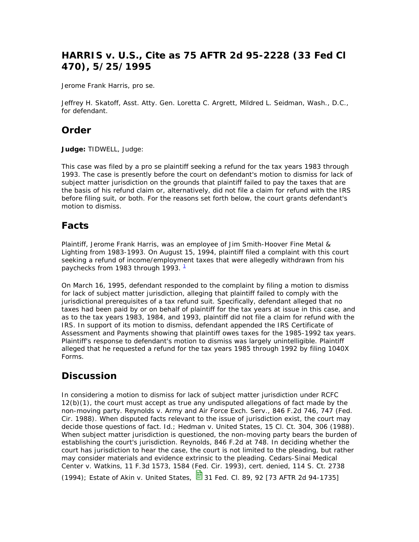## **HARRIS v. U.S., Cite as 75 AFTR 2d 95-2228 (33 Fed Cl 470), 5/25/1995**

Jerome Frank Harris, pro se.

Jeffrey H. Skatoff, Asst. Atty. Gen. Loretta C. Argrett, Mildred L. Seidman, Wash., D.C., for defendant.

#### **Order**

**Judge:** TIDWELL, Judge:

This case was filed by a pro se plaintiff seeking a refund for the tax years 1983 through 1993. The case is presently before the court on defendant's motion to dismiss for lack of subject matter jurisdiction on the grounds that plaintiff failed to pay the taxes that are the basis of his refund claim or, alternatively, did not file a claim for refund with the IRS before filing suit, or both. For the reasons set forth below, the court grants defendant's motion to dismiss.

### **Facts**

Plaintiff, Jerome Frank Harris, was an employee of Jim Smith-Hoover Fine Metal & Lighting from 1983-1993. On August 15, 1994, plaintiff filed a complaint with this court seeking a refund of income/employment taxes that were allegedly withdrawn from his paychecks from 1983 through 1993.  $^1$ 

On March 16, 1995, defendant responded to the complaint by filing a motion to dismiss for lack of subject matter jurisdiction, alleging that plaintiff failed to comply with the jurisdictional prerequisites of a tax refund suit. Specifically, defendant alleged that no taxes had been paid by or on behalf of plaintiff for the tax years at issue in this case, and as to the tax years 1983, 1984, and 1993, plaintiff did not file a claim for refund with the IRS. In support of its motion to dismiss, defendant appended the IRS Certificate of Assessment and Payments showing that plaintiff owes taxes for the 1985-1992 tax years. Plaintiff's response to defendant's motion to dismiss was largely unintelligible. Plaintiff alleged that he requested a refund for the tax years 1985 through 1992 by filing 1040X Forms.

### **Discussion**

In considering a motion to dismiss for lack of subject matter jurisdiction under RCFC 12(b)(1), the court must accept as true any undisputed allegations of fact made by the non-moving party. Reynolds v. Army and Air Force Exch. Serv., 846 F.2d 746, 747 (Fed. Cir. 1988). When disputed facts relevant to the issue of jurisdiction exist, the court may decide those questions of fact. Id.; Hedman v. United States, 15 Cl. Ct. 304, 306 (1988). When subject matter jurisdiction is questioned, the non-moving party bears the burden of establishing the court's jurisdiction. Reynolds, 846 F.2d at 748. In deciding whether the court has jurisdiction to hear the case, the court is not limited to the pleading, but rather may consider materials and evidence extrinsic to the pleading. Cedars-Sinai Medical Center v. Watkins, 11 F.3d 1573, 1584 (Fed. Cir. 1993), cert. denied, 114 S. Ct. 2738 (1994); Estate of Akin v. United States,  $\frac{13}{2}$  31 Fed. Cl. 89, 92 [73 AFTR 2d 94-1735]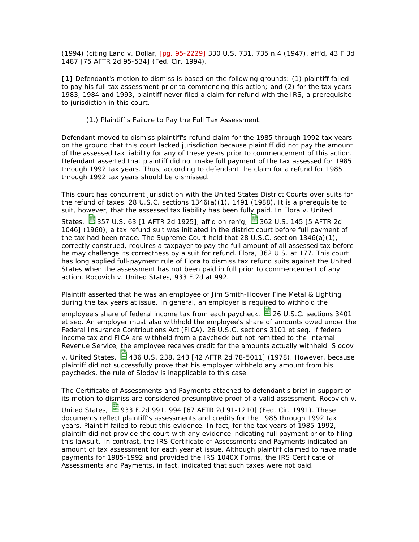(1994) (citing Land v. Dollar, [pg. 95-2229] 330 U.S. 731, 735 n.4 (1947), aff'd, 43 F.3d 1487 [75 AFTR 2d 95-534] (Fed. Cir. 1994).

**[1]** Defendant's motion to dismiss is based on the following grounds: (1) plaintiff failed to pay his full tax assessment prior to commencing this action; and (2) for the tax years 1983, 1984 and 1993, plaintiff never filed a claim for refund with the IRS, a prerequisite to jurisdiction in this court.

(1.) Plaintiff's Failure to Pay the Full Tax Assessment.

Defendant moved to dismiss plaintiff's refund claim for the 1985 through 1992 tax years on the ground that this court lacked jurisdiction because plaintiff did not pay the amount of the assessed tax liability for any of these years prior to commencement of this action. Defendant asserted that plaintiff did not make full payment of the tax assessed for 1985 through 1992 tax years. Thus, according to defendant the claim for a refund for 1985 through 1992 tax years should be dismissed.

This court has concurrent jurisdiction with the United States District Courts over suits for the refund of taxes. 28 U.S.C. sections  $1346(a)(1)$ , 1491 (1988). It is a prerequisite to suit, however, that the assessed tax liability has been fully paid. In Flora v. United

States,  $\frac{13}{2}$  357 U.S. 63 [1 AFTR 2d 1925], aff'd on reh'g,  $\frac{13}{2}$  362 U.S. 145 [5 AFTR 2d 1046] (1960), a tax refund suit was initiated in the district court before full payment of the tax had been made. The Supreme Court held that 28 U.S.C. section  $1346(a)(1)$ , correctly construed, requires a taxpayer to pay the full amount of all assessed tax before he may challenge its correctness by a suit for refund. Flora, 362 U.S. at 177. This court has long applied full-payment rule of Flora to dismiss tax refund suits against the United States when the assessment has not been paid in full prior to commencement of any action. Rocovich v. United States, 933 F.2d at 992.

Plaintiff asserted that he was an employee of Jim Smith-Hoover Fine Metal & Lighting during the tax years at issue. In general, an employer is required to withhold the

employee's share of federal income tax from each paycheck.  $\Box$  26 U.S.C. sections 3401 et seq. An employer must also withhold the employee's share of amounts owed under the Federal Insurance Contributions Act (FICA). 26 U.S.C. sections 3101 et seq. If federal income tax and FICA are withheld from a paycheck but not remitted to the Internal Revenue Service, the employee receives credit for the amounts actually withheld. Slodov

v. United States,  $\frac{13}{2}$ 436 U.S. 238, 243 [42 AFTR 2d 78-5011] (1978). However, because plaintiff did not successfully prove that his employer withheld any amount from his paychecks, the rule of Slodov is inapplicable to this case.

The Certificate of Assessments and Payments attached to defendant's brief in support of its motion to dismiss are considered presumptive proof of a valid assessment. Rocovich v.

United States, **933 F.2d 991, 994 [67 AFTR 2d 91-1210]** (Fed. Cir. 1991). These documents reflect plaintiff's assessments and credits for the 1985 through 1992 tax years. Plaintiff failed to rebut this evidence. In fact, for the tax years of 1985-1992, plaintiff did not provide the court with any evidence indicating full payment prior to filing this lawsuit. In contrast, the IRS Certificate of Assessments and Payments indicated an amount of tax assessment for each year at issue. Although plaintiff claimed to have made payments for 1985-1992 and provided the IRS 1040X Forms, the IRS Certificate of Assessments and Payments, in fact, indicated that such taxes were not paid.